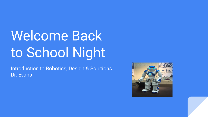# Welcome Back to School Night

Introduction to Robotics, Design & Solutions Dr. Evans

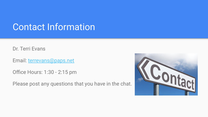### Contact Information

Dr. Terri Evans

Email: [terrevans@paps.net](mailto:terrevans@paps.net)

Office Hours: 1:30 - 2:15 pm

Please post any questions that you have in the chat.

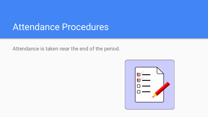#### Attendance Procedures

Attendance is taken near the end of the period.

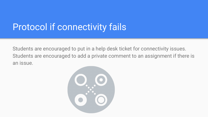# Protocol if connectivity fails

Students are encouraged to put in a help desk ticket for connectivity issues. Students are encouraged to add a private comment to an assignment if there is an issue.

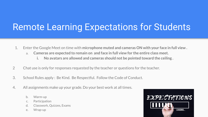# Remote Learning Expectations for Students

- 1. Enter the Google Meet on time with **microphone muted and cameras ON with your face in full view .**
	- a. **Cameras are expected to remain on and face in full view for the entire class meet.**
		- **i. No avatars are allowed and cameras should not be pointed toward the ceiling .**
- 2 Chat use is only for responses requested by the teacher or questions for the teacher.
- 3. School Rules apply : Be Kind. Be Respectful. Follow the Code of Conduct.
- 4. All assignments make up your grade. Do your best work at all times.
	- b. Warm-up
	- c. Participation
	- d. Classwork, Quizzes, Exams
	- e. Wrap-up

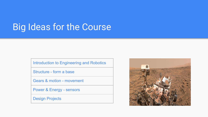# **Big Ideas for the Course**

Introduction to Engineering and Robotics

Structure - form a base

Gears & motion - movement

Power & Energy - sensors

Design Projects